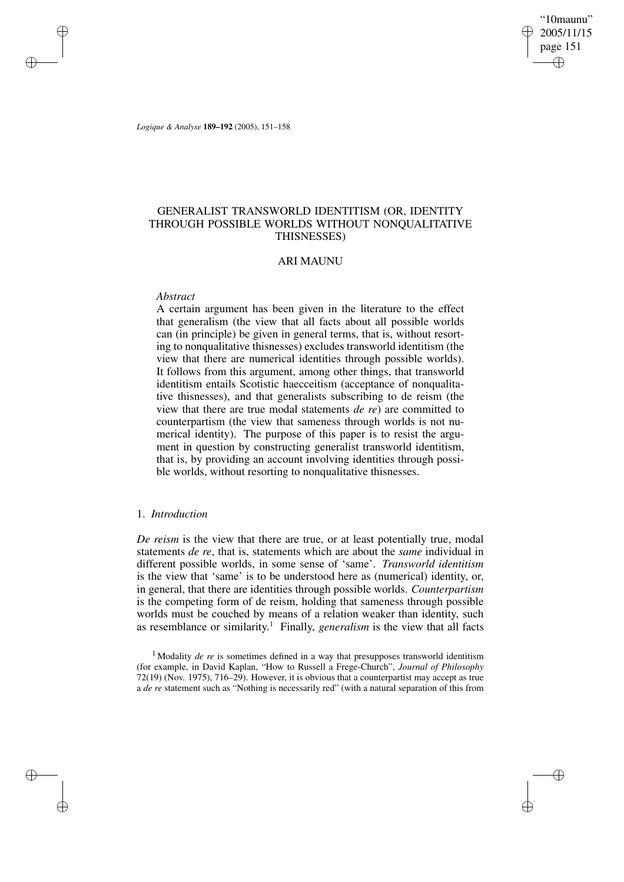"10maunu" 2005/11/15 page 151 ✐ ✐

✐

✐

*Logique & Analyse* **189–192** (2005), 151–158

# GENERALIST TRANSWORLD IDENTITISM (OR, IDENTITY THROUGH POSSIBLE WORLDS WITHOUT NONQUALITATIVE THISNESSES)

## ARI MAUNU

### *Abstract*

✐

✐

✐

✐

A certain argument has been given in the literature to the effect that generalism (the view that all facts about all possible worlds can (in principle) be given in general terms, that is, without resorting to nonqualitative thisnesses) excludes transworld identitism (the view that there are numerical identities through possible worlds). It follows from this argument, among other things, that transworld identitism entails Scotistic haecceitism (acceptance of nonqualitative thisnesses), and that generalists subscribing to de reism (the view that there are true modal statements *de re*) are committed to counterpartism (the view that sameness through worlds is not numerical identity). The purpose of this paper is to resist the argument in question by constructing generalist transworld identitism, that is, by providing an account involving identities through possible worlds, without resorting to nonqualitative thisnesses.

## 1. *Introduction*

*De reism* is the view that there are true, or at least potentially true, modal statements *de re*, that is, statements which are about the *same* individual in different possible worlds, in some sense of 'same'. *Transworld identitism* is the view that 'same' is to be understood here as (numerical) identity, or, in general, that there are identities through possible worlds. *Counterpartism* is the competing form of de reism, holding that sameness through possible worlds must be couched by means of a relation weaker than identity, such as resemblance or similarity. <sup>1</sup> Finally, *generalism* is the view that all facts

<sup>&</sup>lt;sup>1</sup> Modality *de re* is sometimes defined in a way that presupposes transworld identitism (for example, in David Kaplan, "How to Russell a Frege-Church", *Journal of Philosophy* 72(19) (Nov. 1975), 716–29). However, it is obvious that a counterpartist may accept as true a *de re* statement such as "Nothing is necessarily red" (with a natural separation of this from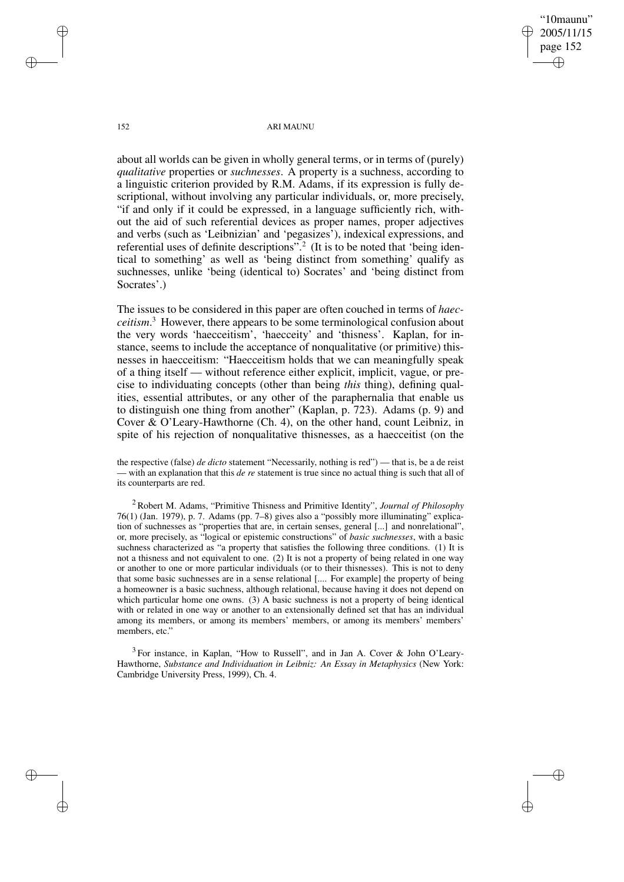"10maunu" 2005/11/15 page 152 ✐ ✐

✐

✐

152 ARI MAUNU

about all worlds can be given in wholly general terms, or in terms of (purely) *qualitative* properties or *suchnesses*. A property is a suchness, according to a linguistic criterion provided by R.M. Adams, if its expression is fully descriptional, without involving any particular individuals, or, more precisely, "if and only if it could be expressed, in a language sufficiently rich, without the aid of such referential devices as proper names, proper adjectives and verbs (such as 'Leibnizian' and 'pegasizes'), indexical expressions, and referential uses of definite descriptions".<sup>2</sup> (It is to be noted that 'being identical to something' as well as 'being distinct from something' qualify as suchnesses, unlike 'being (identical to) Socrates' and 'being distinct from Socrates'.)

The issues to be considered in this paper are often couched in terms of *haecceitism*. <sup>3</sup> However, there appears to be some terminological confusion about the very words 'haecceitism', 'haecceity' and 'thisness'. Kaplan, for instance, seems to include the acceptance of nonqualitative (or primitive) thisnesses in haecceitism: "Haecceitism holds that we can meaningfully speak of a thing itself — without reference either explicit, implicit, vague, or precise to individuating concepts (other than being *this* thing), defining qualities, essential attributes, or any other of the paraphernalia that enable us to distinguish one thing from another" (Kaplan, p. 723). Adams (p. 9) and Cover & O'Leary-Hawthorne (Ch. 4), on the other hand, count Leibniz, in spite of his rejection of nonqualitative thisnesses, as a haecceitist (on the

the respective (false) *de dicto* statement "Necessarily, nothing is red") — that is, be a de reist — with an explanation that this *de re* statement is true since no actual thing is such that all of its counterparts are red.

<sup>2</sup> Robert M. Adams, "Primitive Thisness and Primitive Identity", *Journal of Philosophy* 76(1) (Jan. 1979), p. 7. Adams (pp. 7–8) gives also a "possibly more illuminating" explication of suchnesses as "properties that are, in certain senses, general [...] and nonrelational", or, more precisely, as "logical or epistemic constructions" of *basic suchnesses*, with a basic suchness characterized as "a property that satisfies the following three conditions. (1) It is not a thisness and not equivalent to one. (2) It is not a property of being related in one way or another to one or more particular individuals (or to their thisnesses). This is not to deny that some basic suchnesses are in a sense relational [.... For example] the property of being a homeowner is a basic suchness, although relational, because having it does not depend on which particular home one owns. (3) A basic suchness is not a property of being identical with or related in one way or another to an extensionally defined set that has an individual among its members, or among its members' members, or among its members' members' members, etc."

 $3$  For instance, in Kaplan, "How to Russell", and in Jan A. Cover & John O'Leary-Hawthorne, *Substance and Individuation in Leibniz: An Essay in Metaphysics* (New York: Cambridge University Press, 1999), Ch. 4.

✐

✐

✐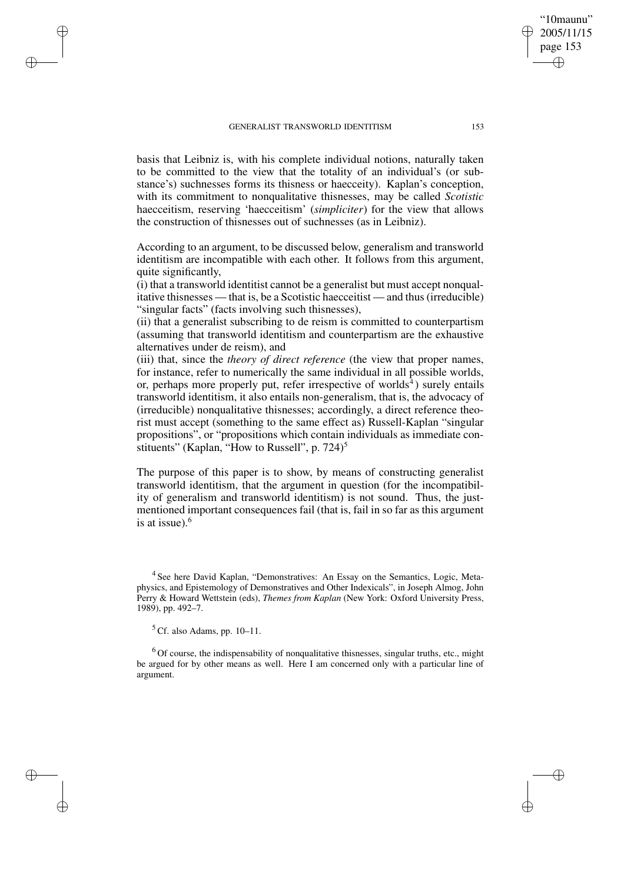### GENERALIST TRANSWORLD IDENTITISM 153

basis that Leibniz is, with his complete individual notions, naturally taken to be committed to the view that the totality of an individual's (or substance's) suchnesses forms its thisness or haecceity). Kaplan's conception, with its commitment to nonqualitative thisnesses, may be called *Scotistic* haecceitism, reserving 'haecceitism' (*simpliciter*) for the view that allows the construction of thisnesses out of suchnesses (as in Leibniz).

According to an argument, to be discussed below, generalism and transworld identitism are incompatible with each other. It follows from this argument, quite significantly,

(i) that a transworld identitist cannot be a generalist but must accept nonqualitative thisnesses — that is, be a Scotistic haecceitist — and thus(irreducible) "singular facts" (facts involving such thisnesses),

(ii) that a generalist subscribing to de reism is committed to counterpartism (assuming that transworld identitism and counterpartism are the exhaustive alternatives under de reism), and

(iii) that, since the *theory of direct reference* (the view that proper names, for instance, refer to numerically the same individual in all possible worlds, or, perhaps more properly put, refer irrespective of worlds<sup>4</sup>) surely entails transworld identitism, it also entails non-generalism, that is, the advocacy of (irreducible) nonqualitative thisnesses; accordingly, a direct reference theorist must accept (something to the same effect as) Russell-Kaplan "singular propositions", or "propositions which contain individuals as immediate constituents" (Kaplan, "How to Russell", p. 724)<sup>5</sup>

The purpose of this paper is to show, by means of constructing generalist transworld identitism, that the argument in question (for the incompatibility of generalism and transworld identitism) is not sound. Thus, the justmentioned important consequences fail (that is, fail in so far as this argument is at issue).<sup>6</sup>

 $5$  Cf. also Adams, pp. 10–11.

✐

✐

✐

✐

 $6$  Of course, the indispensability of nonqualitative thisnesses, singular truths, etc., might be argued for by other means as well. Here I am concerned only with a particular line of argument.

"10maunu" 2005/11/15 page 153

✐

✐

✐

<sup>&</sup>lt;sup>4</sup> See here David Kaplan, "Demonstratives: An Essay on the Semantics, Logic, Metaphysics, and Epistemology of Demonstratives and Other Indexicals", in Joseph Almog, John Perry & Howard Wettstein (eds), *Themes from Kaplan* (New York: Oxford University Press, 1989), pp. 492–7.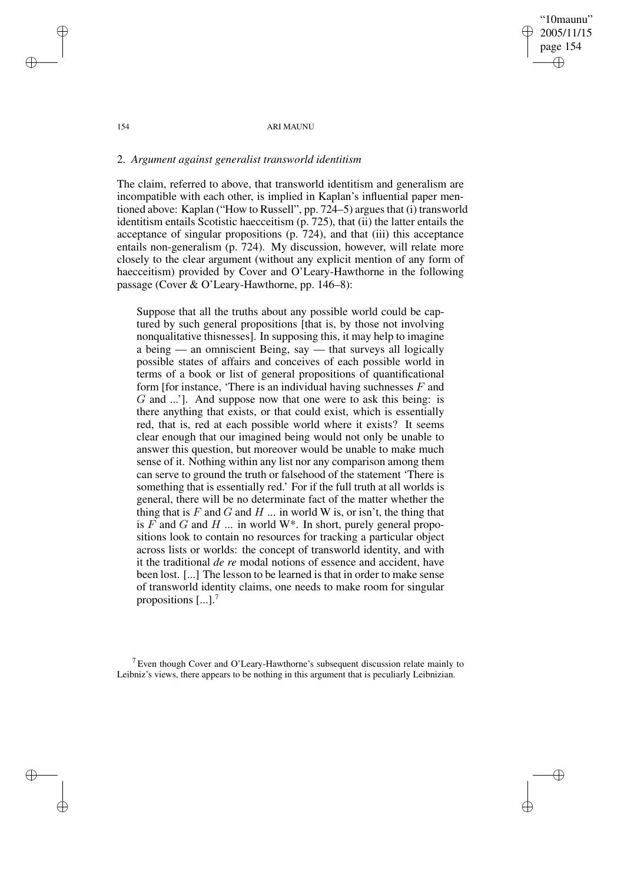"10maunu" 2005/11/15 page 154 ✐ ✐

✐

✐

### 154 ARI MAUNU

## 2. *Argument against generalist transworld identitism*

The claim, referred to above, that transworld identitism and generalism are incompatible with each other, is implied in Kaplan's influential paper mentioned above: Kaplan ("How to Russell", pp. 724–5) argues that (i) transworld identitism entails Scotistic haecceitism (p. 725), that (ii) the latter entails the acceptance of singular propositions (p. 724), and that (iii) this acceptance entails non-generalism (p. 724). My discussion, however, will relate more closely to the clear argument (without any explicit mention of any form of haecceitism) provided by Cover and O'Leary-Hawthorne in the following passage (Cover & O'Leary-Hawthorne, pp. 146–8):

Suppose that all the truths about any possible world could be captured by such general propositions [that is, by those not involving nonqualitative thisnesses]. In supposing this, it may help to imagine a being — an omniscient Being, say — that surveys all logically possible states of affairs and conceives of each possible world in terms of a book or list of general propositions of quantificational form [for instance, 'There is an individual having suchnesses  $F$  and G and ...']. And suppose now that one were to ask this being: is there anything that exists, or that could exist, which is essentially red, that is, red at each possible world where it exists? It seems clear enough that our imagined being would not only be unable to answer this question, but moreover would be unable to make much sense of it. Nothing within any list nor any comparison among them can serve to ground the truth or falsehood of the statement 'There is something that is essentially red.' For if the full truth at all worlds is general, there will be no determinate fact of the matter whether the thing that is  $F$  and  $G$  and  $H$  ... in world W is, or isn't, the thing that is  $F$  and  $G$  and  $H$  ... in world W<sup>\*</sup>. In short, purely general propositions look to contain no resources for tracking a particular object across lists or worlds: the concept of transworld identity, and with it the traditional *de re* modal notions of essence and accident, have been lost. [...] The lesson to be learned is that in order to make sense of transworld identity claims, one needs to make room for singular propositions  $\left[\ldots\right]$ .<sup>7</sup>

<sup>7</sup> Even though Cover and O'Leary-Hawthorne's subsequent discussion relate mainly to Leibniz's views, there appears to be nothing in this argument that is peculiarly Leibnizian.

✐

✐

✐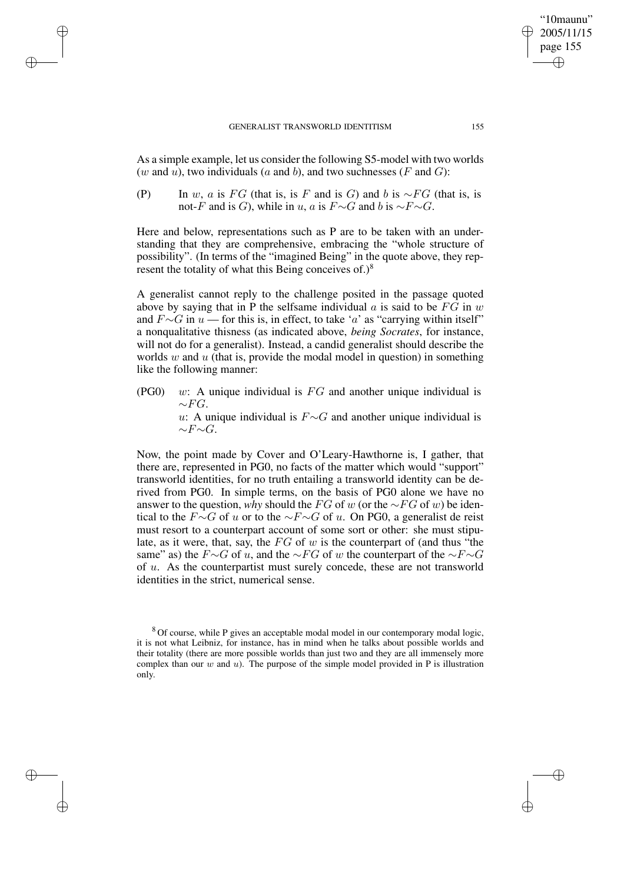### GENERALIST TRANSWORLD IDENTITISM 155

✐

✐

✐

✐

As a simple example, let us consider the following S5-model with two worlds (w and  $\overline{u}$ ), two individuals (a and b), and two suchnesses (F and G):

(P) In w, a is FG (that is, is F and is G) and b is  $\sim$  FG (that is, is not-F and is G), while in u, a is  $F\sim G$  and b is  $\sim F\sim G$ .

Here and below, representations such as P are to be taken with an understanding that they are comprehensive, embracing the "whole structure of possibility". (In terms of the "imagined Being" in the quote above, they represent the totality of what this Being conceives of.) $8$ 

A generalist cannot reply to the challenge posited in the passage quoted above by saying that in P the selfsame individual a is said to be  $\overrightarrow{FG}$  in w and  $F \sim G$  in  $u$  — for this is, in effect, to take 'a' as "carrying within itself" a nonqualitative thisness (as indicated above, *being Socrates*, for instance, will not do for a generalist). Instead, a candid generalist should describe the worlds  $w$  and  $u$  (that is, provide the modal model in question) in something like the following manner:

 $(PG0)$  w: A unique individual is  $FG$  and another unique individual is  $\sim$ FG. u: A unique individual is  $F \sim G$  and another unique individual is  $~\sim$ F $~\sim$ G.

Now, the point made by Cover and O'Leary-Hawthorne is, I gather, that there are, represented in PG0, no facts of the matter which would "support" transworld identities, for no truth entailing a transworld identity can be derived from PG0. In simple terms, on the basis of PG0 alone we have no answer to the question, *why* should the FG of w (or the ∼FG of w) be identical to the  $F\sim G$  of u or to the  $\sim F\sim G$  of u. On PG0, a generalist de reist must resort to a counterpart account of some sort or other: she must stipulate, as it were, that, say, the  $FG$  of w is the counterpart of (and thus "the same" as) the  $F\sim G$  of u, and the  $\sim FG$  of w the counterpart of the  $\sim F\sim G$ of u. As the counterpartist must surely concede, these are not transworld identities in the strict, numerical sense.

"10maunu" 2005/11/15 page 155

✐

✐

✐

<sup>8</sup> Of course, while P gives an acceptable modal model in our contemporary modal logic, it is not what Leibniz, for instance, has in mind when he talks about possible worlds and their totality (there are more possible worlds than just two and they are all immensely more complex than our  $w$  and  $u$ ). The purpose of the simple model provided in P is illustration only.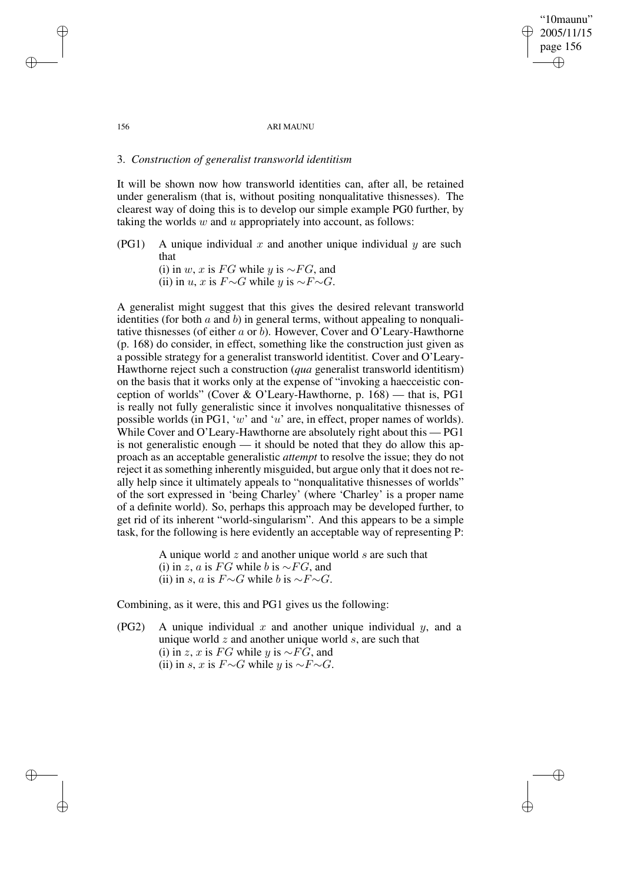"10maunu" 2005/11/15 page 156 ✐ ✐

✐

✐

### 156 ARI MAUNU

## 3. *Construction of generalist transworld identitism*

It will be shown now how transworld identities can, after all, be retained under generalism (that is, without positing nonqualitative thisnesses). The clearest way of doing this is to develop our simple example PG0 further, by taking the worlds  $w$  and  $u$  appropriately into account, as follows:

(PG1) A unique individual x and another unique individual y are such that (i) in w, x is FG while y is  $\sim$ FG, and

(ii) in u, x is  $F\sim G$  while y is  $\sim F\sim G$ .

A generalist might suggest that this gives the desired relevant transworld identities (for both  $a$  and  $b$ ) in general terms, without appealing to nonqualitative thisnesses (of either  $a$  or  $b$ ). However, Cover and O'Leary-Hawthorne (p. 168) do consider, in effect, something like the construction just given as a possible strategy for a generalist transworld identitist. Cover and O'Leary-Hawthorne reject such a construction (*qua* generalist transworld identitism) on the basis that it works only at the expense of "invoking a haecceistic conception of worlds" (Cover & O'Leary-Hawthorne, p. 168) — that is, PG1 is really not fully generalistic since it involves nonqualitative thisnesses of possible worlds (in PG1, 'w' and 'u' are, in effect, proper names of worlds). While Cover and O'Leary-Hawthorne are absolutely right about this — PG1 is not generalistic enough — it should be noted that they do allow this approach as an acceptable generalistic *attempt* to resolve the issue; they do not reject it as something inherently misguided, but argue only that it does not really help since it ultimately appeals to "nonqualitative thisnesses of worlds" of the sort expressed in 'being Charley' (where 'Charley' is a proper name of a definite world). So, perhaps this approach may be developed further, to get rid of its inherent "world-singularism". And this appears to be a simple task, for the following is here evidently an acceptable way of representing P:

> A unique world  $z$  and another unique world  $s$  are such that (i) in z, a is FG while b is  $\sim$ FG, and (ii) in s, a is  $F\sim G$  while b is  $\sim F\sim G$ .

Combining, as it were, this and PG1 gives us the following:

(PG2) A unique individual  $x$  and another unique individual  $y$ , and a unique world  $z$  and another unique world  $s$ , are such that (i) in z, x is FG while y is  $\sim$ FG, and (ii) in s, x is  $F\sim G$  while y is  $\sim F\sim G$ .

✐

✐

✐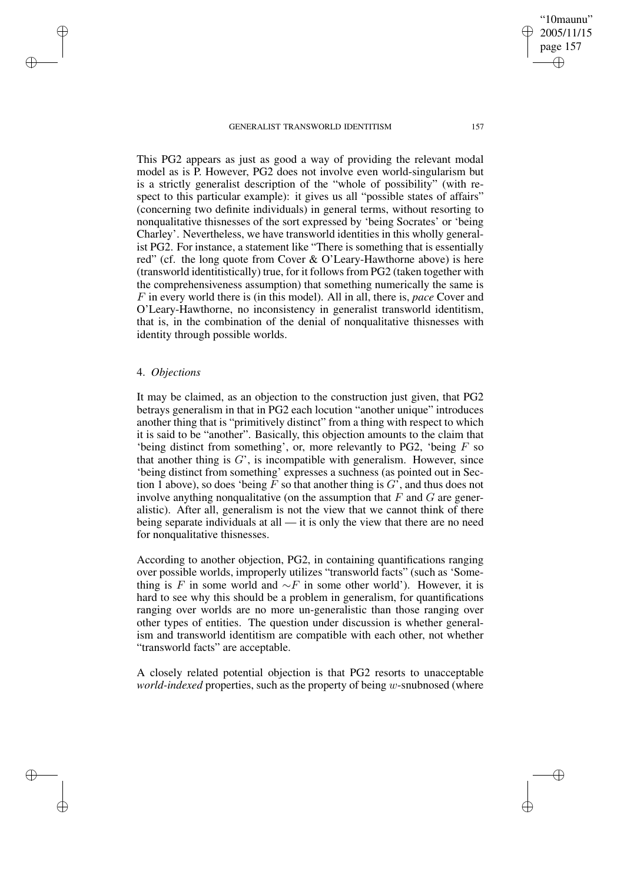### GENERALIST TRANSWORLD IDENTITISM 157

This PG2 appears as just as good a way of providing the relevant modal model as is P. However, PG2 does not involve even world-singularism but is a strictly generalist description of the "whole of possibility" (with respect to this particular example): it gives us all "possible states of affairs" (concerning two definite individuals) in general terms, without resorting to nonqualitative thisnesses of the sort expressed by 'being Socrates' or 'being Charley'. Nevertheless, we have transworld identities in this wholly generalist PG2. For instance, a statement like "There is something that is essentially red" (cf. the long quote from Cover & O'Leary-Hawthorne above) is here (transworld identitistically) true, for it followsfrom PG2 (taken together with the comprehensiveness assumption) that something numerically the same is F in every world there is (in this model). All in all, there is, *pace* Cover and O'Leary-Hawthorne, no inconsistency in generalist transworld identitism, that is, in the combination of the denial of nonqualitative thisnesses with identity through possible worlds.

## 4. *Objections*

✐

✐

✐

✐

It may be claimed, as an objection to the construction just given, that PG2 betrays generalism in that in PG2 each locution "another unique" introduces another thing that is "primitively distinct" from a thing with respect to which it is said to be "another". Basically, this objection amounts to the claim that 'being distinct from something', or, more relevantly to PG2, 'being  $F$  so that another thing is  $G'$ , is incompatible with generalism. However, since 'being distinct from something' expresses a suchness (as pointed out in Section 1 above), so does 'being F so that another thing is  $G'$ , and thus does not involve anything nonqualitative (on the assumption that  $F$  and  $G$  are generalistic). After all, generalism is not the view that we cannot think of there being separate individuals at all — it is only the view that there are no need for nonqualitative thisnesses.

According to another objection, PG2, in containing quantifications ranging over possible worlds, improperly utilizes "transworld facts" (such as 'Something is F in some world and  $\sim$ F in some other world'). However, it is hard to see why this should be a problem in generalism, for quantifications ranging over worlds are no more un-generalistic than those ranging over other types of entities. The question under discussion is whether generalism and transworld identitism are compatible with each other, not whether "transworld facts" are acceptable.

A closely related potential objection is that PG2 resorts to unacceptable *world-indexed* properties, such as the property of being w-snubnosed (where

"10maunu" 2005/11/15 page 157

✐

✐

✐